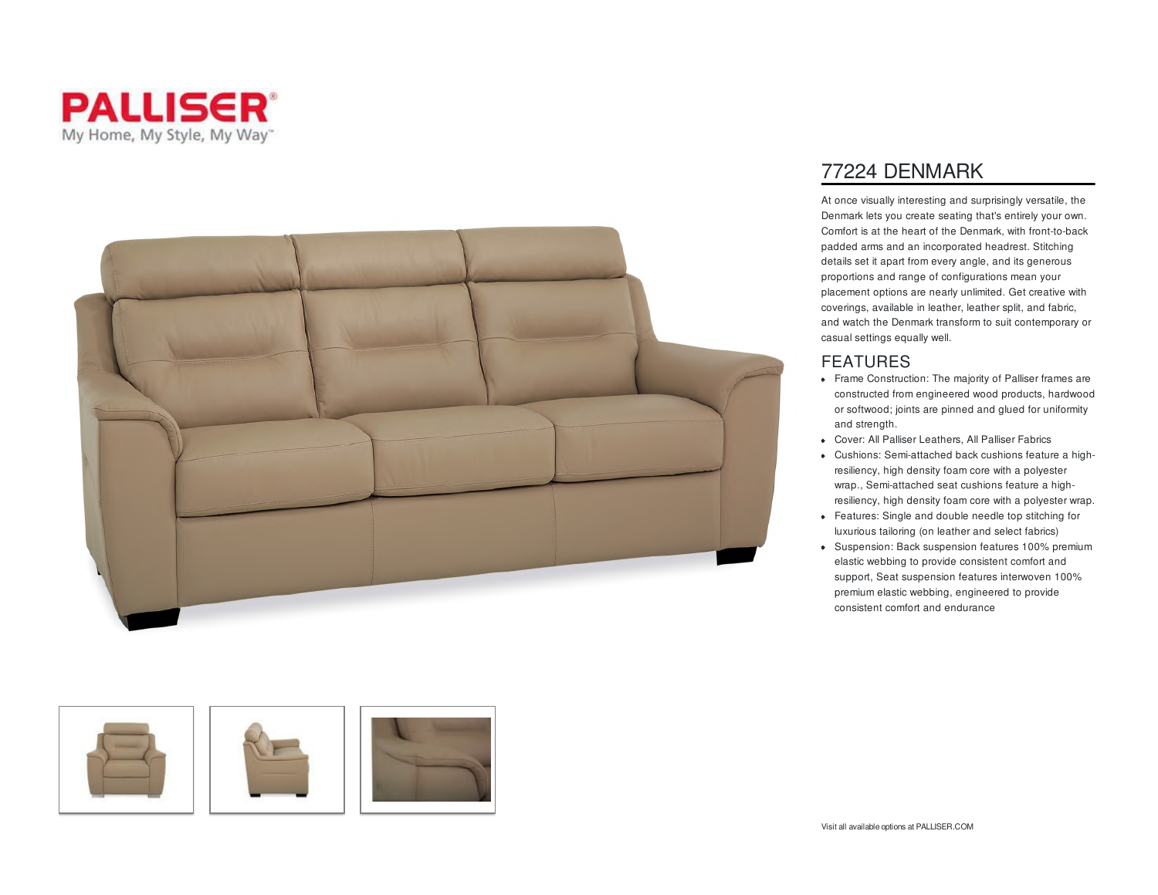





## 77224 DENMARK

At once visually interesting and surprisingly versatile, the Denmark lets you create seating that's entirely your own. Comfort is at the heart of the Denmark, with front-to-back padded arms and an incorporated headrest. Stitching details set it apart from every angle, and its generous proportions and range of configurations mean your placement options are nearly unlimited. Get creative with coverings, available in leather, leather split, and fabric, and watch the Denmark transform to suit contemporary or casual settings equally well.

## FEATURES

- Frame Construction: The majority of Palliser frames are constructed from engineered wood products, hardwood or softwood; joints are pinned and glued for uniformity and strength.
- Cover: All Palliser Leathers, All Palliser Fabrics
- Cushions: Semi-attached back cushions feature a highresiliency, high density foam core with a polyester wrap., Semi-attached seat cushions feature a highresiliency, high density foam core with a polyester wrap.
- Features: Single and double needle top stitching for luxurious tailoring (on leather and select fabrics)
- Suspension: Back suspension features 100% premium elastic webbing to provide consistent comfort and support, Seat suspension features interwoven 100% premium elastic webbing, engineered to provide consistent comfort and endurance